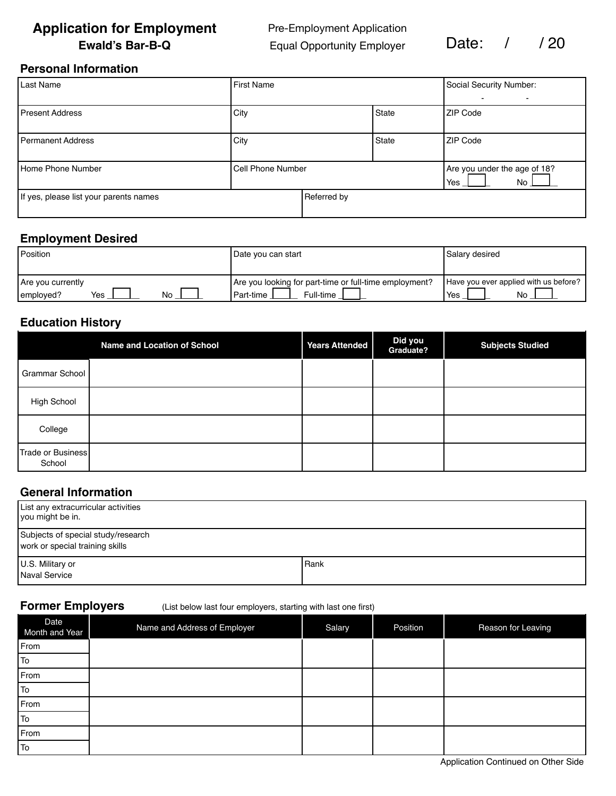# **Application for Employment** Pre-Employment Application **Ewald's Bar-B-Q** Equal Opportunity Employer Date: / / 20

## **Personal Information**

| Last Name                              | First Name               |             |              | Social Security Number:<br>-              |  |  |  |
|----------------------------------------|--------------------------|-------------|--------------|-------------------------------------------|--|--|--|
| <b>Present Address</b>                 | City                     |             | <b>State</b> | ZIP Code                                  |  |  |  |
| Permanent Address                      | City                     |             | <b>State</b> | <b>ZIP Code</b>                           |  |  |  |
| Home Phone Number                      | <b>Cell Phone Number</b> |             |              | Are you under the age of 18?<br>Yes<br>No |  |  |  |
| If yes, please list your parents names |                          | Referred by |              |                                           |  |  |  |

### **Employment Desired**

| <b>Position</b>                             | Date you can start                                                                 | Salary desired                                     |  |  |  |
|---------------------------------------------|------------------------------------------------------------------------------------|----------------------------------------------------|--|--|--|
| Are you currently<br>No<br>Yes<br>employed? | Are you looking for part-time or full-time employment?<br>Full-time<br>l Part-time | Have you ever applied with us before?<br>No<br>Yes |  |  |  |

# **Education History**

|                             | <b>Name and Location of School</b> | <b>Years Attended</b> | Did you<br>Graduate? | <b>Subjects Studied</b> |
|-----------------------------|------------------------------------|-----------------------|----------------------|-------------------------|
| Grammar School              |                                    |                       |                      |                         |
| <b>High School</b>          |                                    |                       |                      |                         |
| College                     |                                    |                       |                      |                         |
| Trade or Business<br>School |                                    |                       |                      |                         |

## **General Information**

| List any extracurricular activities<br>you might be in.               |        |
|-----------------------------------------------------------------------|--------|
| Subjects of special study/research<br>work or special training skills |        |
| U.S. Military or<br>Naval Service                                     | l Rank |

**Former Employers** (List below last four employers, starting with last one first)

| Date<br>Month and Year | Name and Address of Employer | Salary | Position | Reason for Leaving |
|------------------------|------------------------------|--------|----------|--------------------|
| From                   |                              |        |          |                    |
| To                     |                              |        |          |                    |
| From                   |                              |        |          |                    |
| To                     |                              |        |          |                    |
| From                   |                              |        |          |                    |
| To                     |                              |        |          |                    |
| From                   |                              |        |          |                    |
| To                     |                              |        |          |                    |